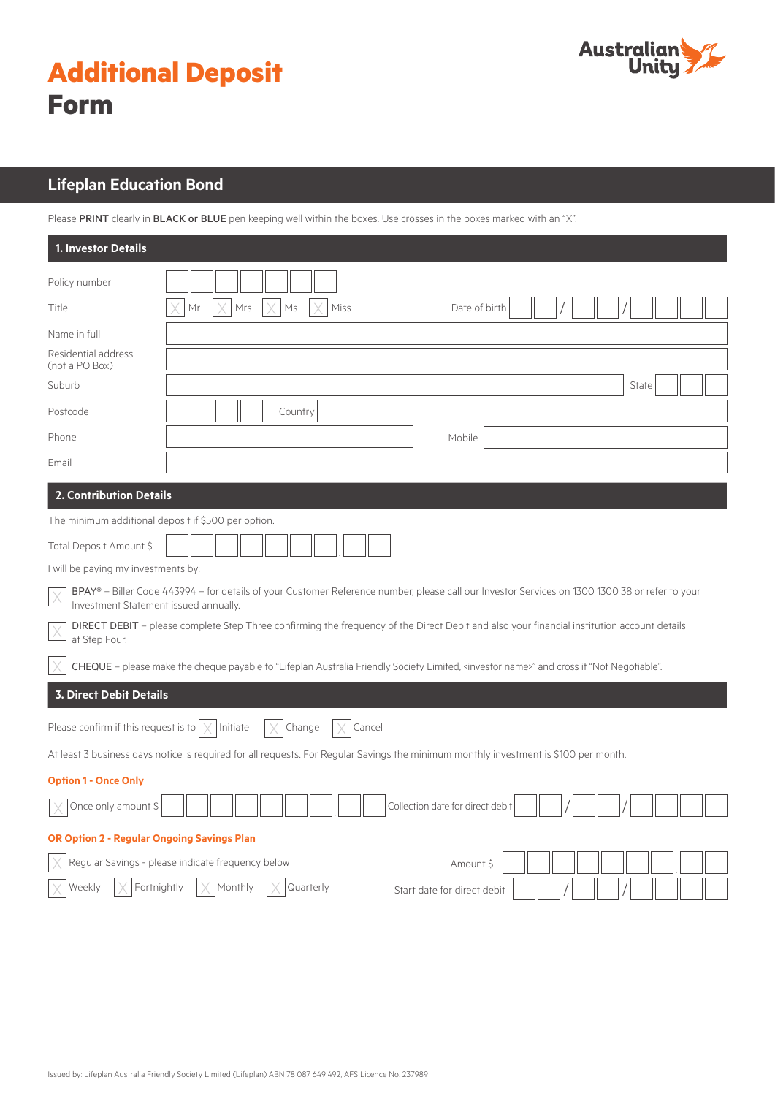

| <b>Additional Deposit</b> |  |
|---------------------------|--|
| <b>Form</b>               |  |

## **Lifeplan Education Bond**

Please PRINT clearly in BLACK or BLUE pen keeping well within the boxes. Use crosses in the boxes marked with an "X".

| 1. Investor Details                                                                                                                                                                     |                                                                |  |  |  |
|-----------------------------------------------------------------------------------------------------------------------------------------------------------------------------------------|----------------------------------------------------------------|--|--|--|
| Policy number                                                                                                                                                                           |                                                                |  |  |  |
| Title                                                                                                                                                                                   | $Mrs$<br>Mr<br>Ms<br>Miss<br>Date of birth                     |  |  |  |
| Name in full                                                                                                                                                                            |                                                                |  |  |  |
| Residential address<br>(not a PO Box)                                                                                                                                                   |                                                                |  |  |  |
| Suburb                                                                                                                                                                                  | State                                                          |  |  |  |
| Postcode                                                                                                                                                                                | Country                                                        |  |  |  |
| Phone                                                                                                                                                                                   | Mobile                                                         |  |  |  |
| Email                                                                                                                                                                                   |                                                                |  |  |  |
| 2. Contribution Details                                                                                                                                                                 |                                                                |  |  |  |
| The minimum additional deposit if \$500 per option.                                                                                                                                     |                                                                |  |  |  |
| Total Deposit Amount \$                                                                                                                                                                 |                                                                |  |  |  |
| I will be paying my investments by:                                                                                                                                                     |                                                                |  |  |  |
| BPAY® - Biller Code 443994 - for details of your Customer Reference number, please call our Investor Services on 1300 1300 38 or refer to your<br>Investment Statement issued annually. |                                                                |  |  |  |
| DIRECT DEBIT - please complete Step Three confirming the frequency of the Direct Debit and also your financial institution account details<br>at Step Four.                             |                                                                |  |  |  |
| CHEQUE - please make the cheque payable to "Lifeplan Australia Friendly Society Limited, <investor name="">" and cross it "Not Negotiable".</investor>                                  |                                                                |  |  |  |
| <b>3. Direct Debit Details</b>                                                                                                                                                          |                                                                |  |  |  |
| Please confirm if this request is to $\vert \times$<br>Initiate<br>Change<br>Cancel                                                                                                     |                                                                |  |  |  |
| At least 3 business days notice is required for all requests. For Regular Savings the minimum monthly investment is \$100 per month.                                                    |                                                                |  |  |  |
| <b>Option 1 - Once Only</b>                                                                                                                                                             |                                                                |  |  |  |
| Once only amount \$                                                                                                                                                                     | Collection date for direct debit                               |  |  |  |
| <b>OR Option 2 - Regular Ongoing Savings Plan</b>                                                                                                                                       |                                                                |  |  |  |
|                                                                                                                                                                                         | Regular Savings - please indicate frequency below<br>Amount \$ |  |  |  |
| Weekly<br>Fortnightly                                                                                                                                                                   | Monthly<br>Quarterly<br>Start date for direct debit            |  |  |  |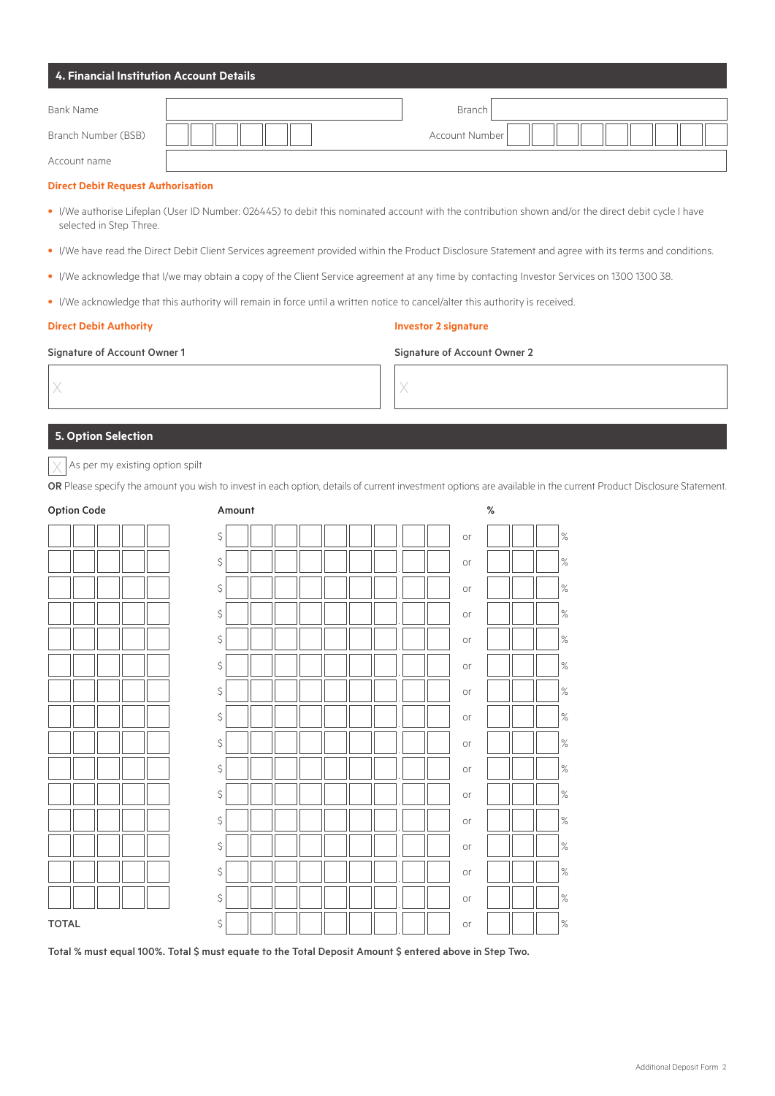| 4. Financial Institution Account Details                                                                                                                                       |  |                                                                                                                                                       |  |  |
|--------------------------------------------------------------------------------------------------------------------------------------------------------------------------------|--|-------------------------------------------------------------------------------------------------------------------------------------------------------|--|--|
| <b>Bank Name</b>                                                                                                                                                               |  | Branch                                                                                                                                                |  |  |
| Branch Number (BSB)<br>Account name                                                                                                                                            |  | Account Number                                                                                                                                        |  |  |
| <b>Direct Debit Request Authorisation</b>                                                                                                                                      |  |                                                                                                                                                       |  |  |
| • I/We authorise Lifeplan (User ID Number: 026445) to debit this nominated account with the contribution shown and/or the direct debit cycle I have<br>selected in Step Three. |  |                                                                                                                                                       |  |  |
|                                                                                                                                                                                |  | . I/We have read the Direct Debit Client Services agreement provided within the Product Disclosure Statement and agree with its terms and conditions. |  |  |

- I/We acknowledge that I/we may obtain a copy of the Client Service agreement at any time by contacting Investor Services on 1300 1300 38.
- I/We acknowledge that this authority will remain in force until a written notice to cancel/alter this authority is received.

### **Direct Debit Authority Investor 2 signature**

### Signature of Account Owner 1 Signature of Account Owner 2

 $\times$   $\times$ 

### **5. Option Selection**

As per my existing option spilt

OR Please specify the amount you wish to invest in each option, details of current investment options are available in the current Product Disclosure Statement.

| Option Code | Amount               | $\%$       |
|-------------|----------------------|------------|
|             | \$                   | $\%$<br>or |
|             | $\boldsymbol{\zeta}$ | $\%$<br>or |
|             | $\boldsymbol{\zeta}$ | $\%$<br>or |
|             | $\boldsymbol{\zeta}$ | $\%$<br>or |
|             | $\boldsymbol{\zeta}$ | $\%$<br>or |
|             | $\boldsymbol{\zeta}$ | $\%$<br>or |
|             | $\boldsymbol{\zeta}$ | $\%$<br>or |
|             | $\boldsymbol{\zeta}$ | $\%$<br>or |
|             | $\boldsymbol{\zeta}$ | $\%$<br>or |
|             | $\boldsymbol{\zeta}$ | $\%$<br>or |
|             | $\boldsymbol{\zeta}$ | $\%$<br>or |
|             | $\boldsymbol{\zeta}$ | $\%$<br>or |
|             | $\boldsymbol{\zeta}$ | $\%$<br>or |
|             | $\boldsymbol{\zeta}$ | $\%$<br>or |
|             | $\boldsymbol{\zeta}$ | $\%$<br>or |
| TOTAL       | $\boldsymbol{\zeta}$ | $\%$<br>or |

Total % must equal 100%. Total \$ must equate to the Total Deposit Amount \$ entered above in Step Two.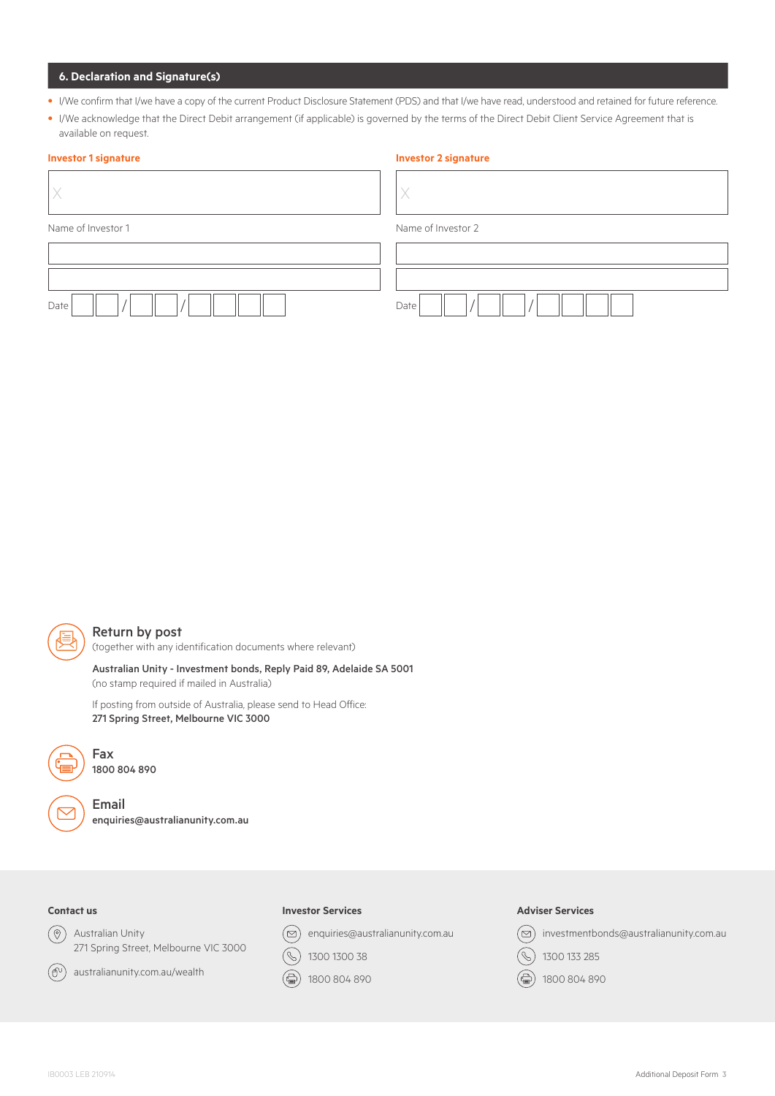### **6. Declaration and Signature(s)**

- I/We confirm that I/we have a copy of the current Product Disclosure Statement (PDS) and that I/we have read, understood and retained for future reference.
- I/We acknowledge that the Direct Debit arrangement (if applicable) is governed by the terms of the Direct Debit Client Service Agreement that is available on request.

| <b>Investor 1 signature</b> | <b>Investor 2 signature</b> |
|-----------------------------|-----------------------------|
|                             | Χ                           |
| Name of Investor 1          | Name of Investor 2          |
|                             |                             |
|                             |                             |
| Date                        | Date                        |



#### Return by post

(together with any identification documents where relevant)

Australian Unity - Investment bonds, Reply Paid 89, Adelaide SA 5001 (no stamp required if mailed in Australia)

If posting from outside of Australia, please send to Head Office: 271 Spring Street, Melbourne VIC 3000



1800 804 890

Fax

Email enquiries@australianunity.com.au

### **Contact us**

 $\circledcirc$ Australian Unity 271 Spring Street, Melbourne VIC 3000



australianunity.com.au/wealth

#### **Investor Services Investor Services**

enquiries@australianunity.com.au enquiries@australianunity.com.au

- $\circledS$ 1300 1300 38 1300 1300 38
- $\left(\bigoplus_{i=1}^{n} x_i\right)$ 1800 804 890 1800 804 890

#### **Adviser Services**



 $(\mathcal{C})$ 1300 133 285

 $\textcircled{\tiny{\textsf{F}}}$ 1800 804 890